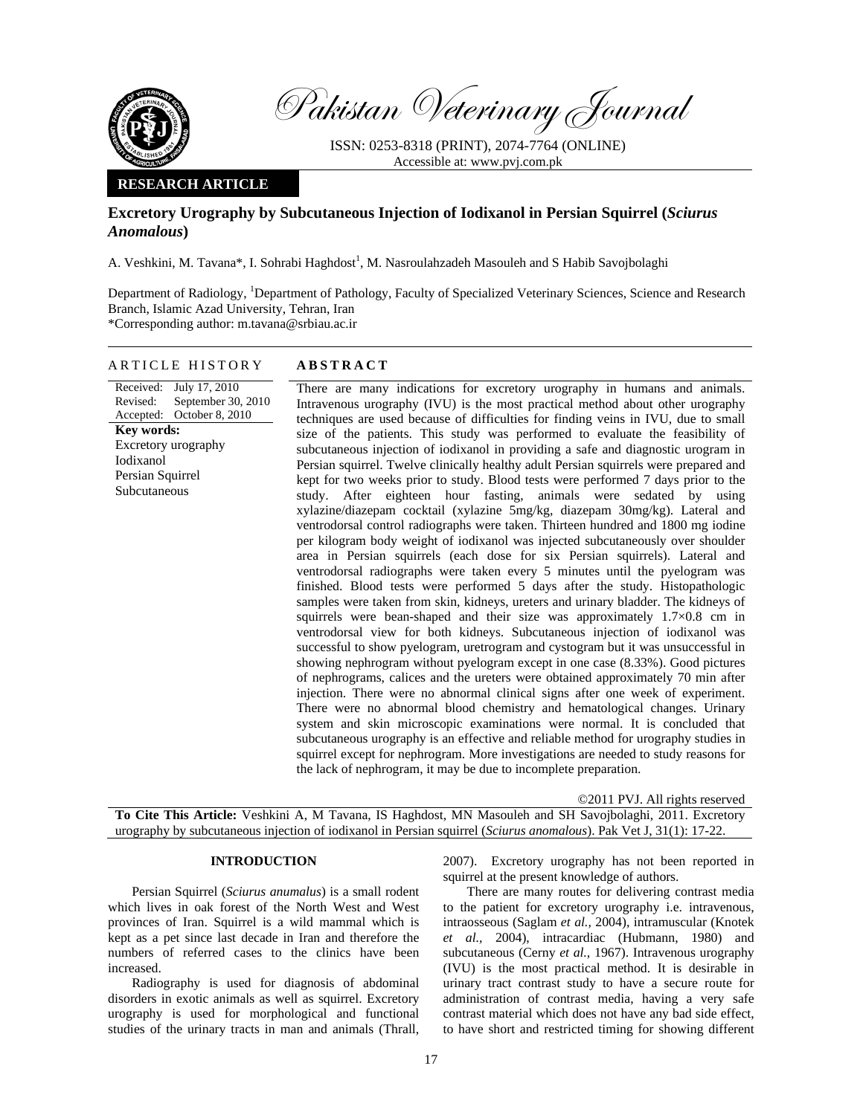

Pakistan Veterinary Journal

ISSN: 0253-8318 (PRINT), 2074-7764 (ONLINE) Accessible at: www.pvj.com.pk

### **RESEARCH ARTICLE**

# **Excretory Urography by Subcutaneous Injection of Iodixanol in Persian Squirrel (***Sciurus Anomalous***)**

A. Veshkini, M. Tavana\*, I. Sohrabi Haghdost<sup>1</sup>, M. Nasroulahzadeh Masouleh and S Habib Savojbolaghi

Department of Radiology, <sup>1</sup>Department of Pathology, Faculty of Specialized Veterinary Sciences, Science and Research Branch, Islamic Azad University, Tehran, Iran \*Corresponding author: m.tavana@srbiau.ac.ir

## ARTICLE HISTORY **ABSTRACT**

Received: July 17, 2010 Revised: Accepted: September 30, 2010 October 8, 2010 **Key words:**  Excretory urography Iodixanol Persian Squirrel Subcutaneous

There are many indications for excretory urography in humans and animals. Intravenous urography (IVU) is the most practical method about other urography techniques are used because of difficulties for finding veins in IVU, due to small size of the patients. This study was performed to evaluate the feasibility of subcutaneous injection of iodixanol in providing a safe and diagnostic urogram in Persian squirrel. Twelve clinically healthy adult Persian squirrels were prepared and kept for two weeks prior to study. Blood tests were performed 7 days prior to the study. After eighteen hour fasting, animals were sedated by using xylazine/diazepam cocktail (xylazine 5mg/kg, diazepam 30mg/kg). Lateral and ventrodorsal control radiographs were taken. Thirteen hundred and 1800 mg iodine per kilogram body weight of iodixanol was injected subcutaneously over shoulder area in Persian squirrels (each dose for six Persian squirrels). Lateral and ventrodorsal radiographs were taken every 5 minutes until the pyelogram was finished. Blood tests were performed 5 days after the study. Histopathologic samples were taken from skin, kidneys, ureters and urinary bladder. The kidneys of squirrels were bean-shaped and their size was approximately  $1.7 \times 0.8$  cm in ventrodorsal view for both kidneys. Subcutaneous injection of iodixanol was successful to show pyelogram, uretrogram and cystogram but it was unsuccessful in showing nephrogram without pyelogram except in one case (8.33%). Good pictures of nephrograms, calices and the ureters were obtained approximately 70 min after injection. There were no abnormal clinical signs after one week of experiment. There were no abnormal blood chemistry and hematological changes. Urinary system and skin microscopic examinations were normal. It is concluded that subcutaneous urography is an effective and reliable method for urography studies in squirrel except for nephrogram. More investigations are needed to study reasons for the lack of nephrogram, it may be due to incomplete preparation.

©2011 PVJ. All rights reserved **To Cite This Article:** Veshkini A, M Tavana, IS Haghdost, MN Masouleh and SH Savojbolaghi, 2011. Excretory urography by subcutaneous injection of iodixanol in Persian squirrel (*Sciurus anomalous*). Pak Vet J, 31(1): 17-22.

#### **INTRODUCTION**

Persian Squirrel (*Sciurus anumalus*) is a small rodent which lives in oak forest of the North West and West provinces of Iran. Squirrel is a wild mammal which is kept as a pet since last decade in Iran and therefore the numbers of referred cases to the clinics have been increased.

Radiography is used for diagnosis of abdominal disorders in exotic animals as well as squirrel. Excretory urography is used for morphological and functional studies of the urinary tracts in man and animals (Thrall,

2007). Excretory urography has not been reported in squirrel at the present knowledge of authors.

There are many routes for delivering contrast media to the patient for excretory urography i.e. intravenous, intraosseous (Saglam *et al.,* 2004), intramuscular (Knotek *et al.,* 2004), intracardiac (Hubmann, 1980) and subcutaneous (Cerny *et al.,* 1967). Intravenous urography (IVU) is the most practical method. It is desirable in urinary tract contrast study to have a secure route for administration of contrast media, having a very safe contrast material which does not have any bad side effect, to have short and restricted timing for showing different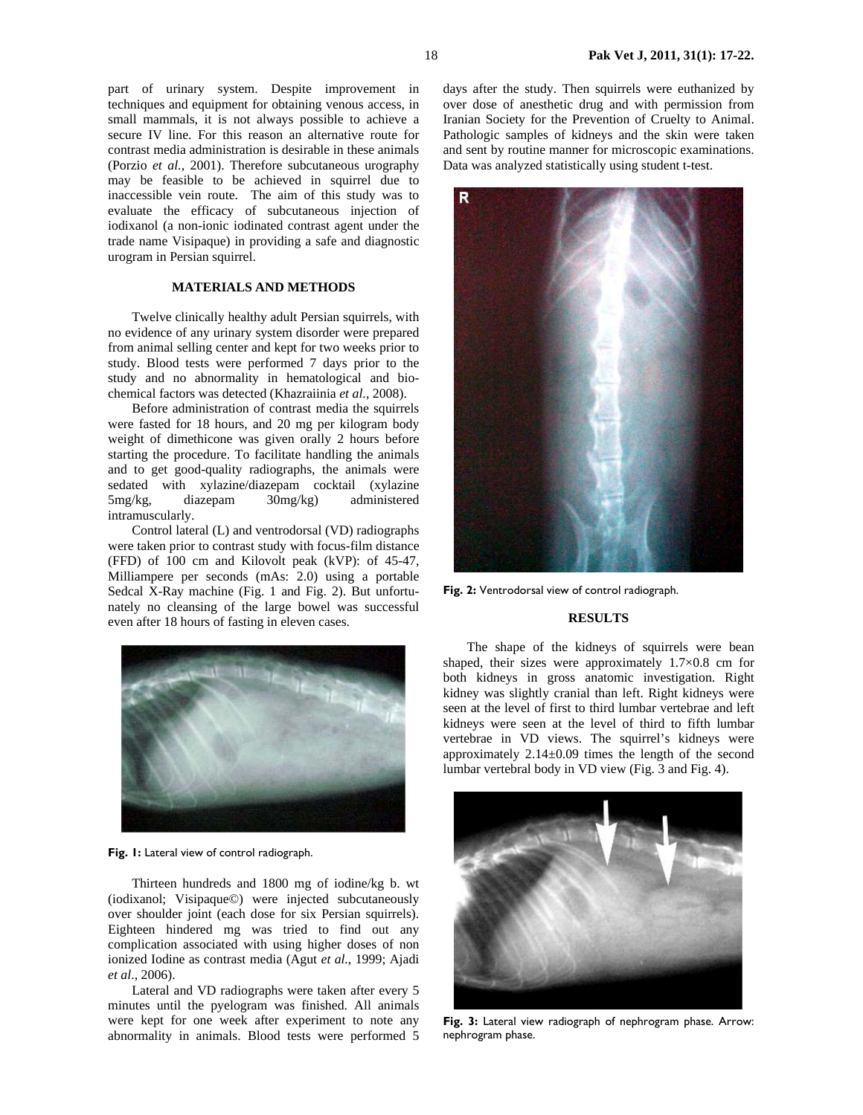part of urinary system. Despite improvement in techniques and equipment for obtaining venous access, in small mammals, it is not always possible to achieve a secure IV line. For this reason an alternative route for contrast media administration is desirable in these animals (Porzio *et al.,* 2001). Therefore subcutaneous urography may be feasible to be achieved in squirrel due to inaccessible vein route. The aim of this study was to evaluate the efficacy of subcutaneous injection of iodixanol (a non-ionic iodinated contrast agent under the trade name Visipaque) in providing a safe and diagnostic urogram in Persian squirrel.

## **MATERIALS AND METHODS**

Twelve clinically healthy adult Persian squirrels, with no evidence of any urinary system disorder were prepared from animal selling center and kept for two weeks prior to study. Blood tests were performed 7 days prior to the study and no abnormality in hematological and biochemical factors was detected (Khazraiinia *et al.*, 2008).

Before administration of contrast media the squirrels were fasted for 18 hours, and 20 mg per kilogram body weight of dimethicone was given orally 2 hours before starting the procedure. To facilitate handling the animals and to get good-quality radiographs, the animals were sedated with xylazine/diazepam cocktail (xylazine 5mg/kg, diazepam 30mg/kg) administered intramuscularly.

Control lateral (L) and ventrodorsal (VD) radiographs were taken prior to contrast study with focus-film distance (FFD) of 100 cm and Kilovolt peak (kVP): of 45-47, Milliampere per seconds (mAs: 2.0) using a portable Sedcal X-Ray machine (Fig. 1 and Fig. 2). But unfortunately no cleansing of the large bowel was successful even after 18 hours of fasting in eleven cases.



**Fig. 1:** Lateral view of control radiograph.

Thirteen hundreds and 1800 mg of iodine/kg b. wt (iodixanol; Visipaque©) were injected subcutaneously over shoulder joint (each dose for six Persian squirrels). Eighteen hindered mg was tried to find out any complication associated with using higher doses of non ionized Iodine as contrast media (Agut *et al.*, 1999; Ajadi *et al*., 2006).

Lateral and VD radiographs were taken after every 5 minutes until the pyelogram was finished. All animals were kept for one week after experiment to note any abnormality in animals. Blood tests were performed 5

days after the study. Then squirrels were euthanized by over dose of anesthetic drug and with permission from Iranian Society for the Prevention of Cruelty to Animal. Pathologic samples of kidneys and the skin were taken and sent by routine manner for microscopic examinations. Data was analyzed statistically using student t-test.



**Fig. 2:** Ventrodorsal view of control radiograph.

### **RESULTS**

The shape of the kidneys of squirrels were bean shaped, their sizes were approximately 1.7×0.8 cm for both kidneys in gross anatomic investigation. Right kidney was slightly cranial than left. Right kidneys were seen at the level of first to third lumbar vertebrae and left kidneys were seen at the level of third to fifth lumbar vertebrae in VD views. The squirrel's kidneys were approximately  $2.14 \pm 0.09$  times the length of the second lumbar vertebral body in VD view (Fig. 3 and Fig. 4).



**Fig. 3:** Lateral view radiograph of nephrogram phase. Arrow: nephrogram phase.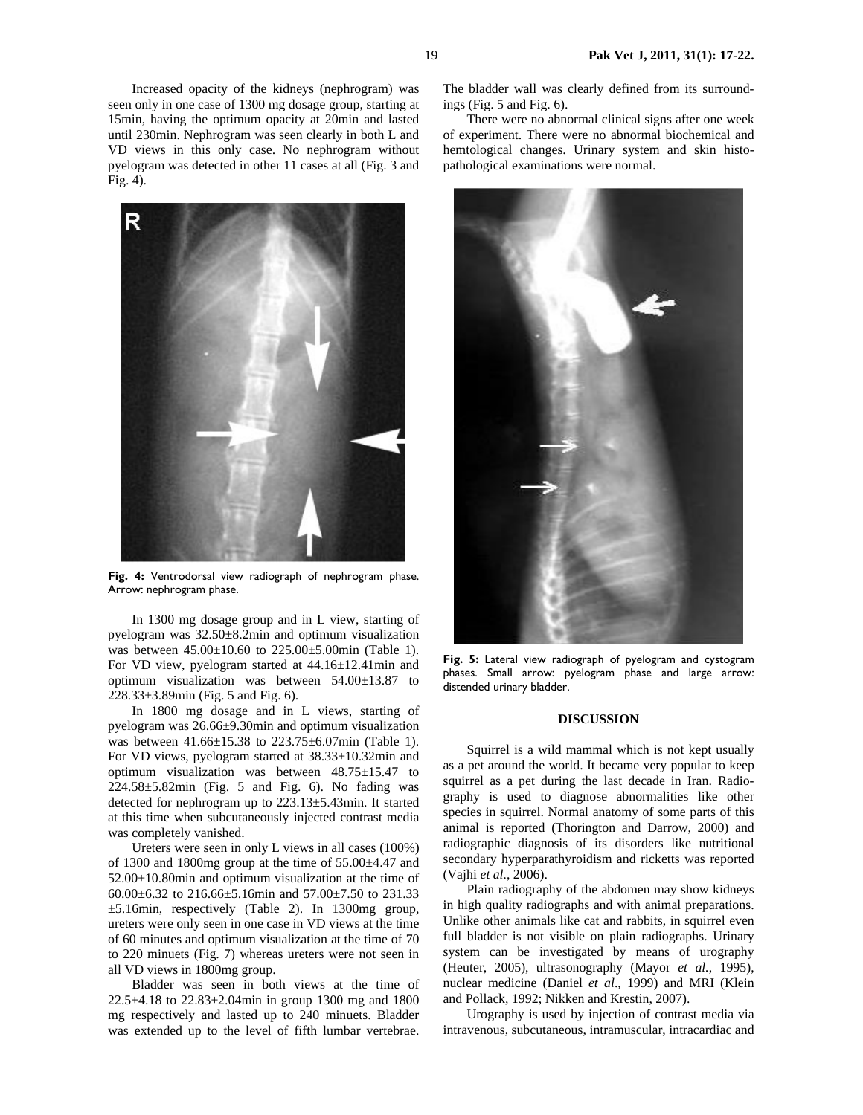Increased opacity of the kidneys (nephrogram) was seen only in one case of 1300 mg dosage group, starting at 15min, having the optimum opacity at 20min and lasted until 230min. Nephrogram was seen clearly in both L and VD views in this only case. No nephrogram without pyelogram was detected in other 11 cases at all (Fig. 3 and Fig. 4).



**Fig. 4:** Ventrodorsal view radiograph of nephrogram phase. Arrow: nephrogram phase.

In 1300 mg dosage group and in L view, starting of pyelogram was 32.50±8.2min and optimum visualization was between 45.00±10.60 to 225.00±5.00min (Table 1). For VD view, pyelogram started at 44.16±12.41min and optimum visualization was between 54.00±13.87 to 228.33±3.89min (Fig. 5 and Fig. 6).

In 1800 mg dosage and in L views, starting of pyelogram was 26.66±9.30min and optimum visualization was between 41.66±15.38 to 223.75±6.07min (Table 1). For VD views, pyelogram started at 38.33±10.32min and optimum visualization was between 48.75±15.47 to  $224.58\pm5.82$ min (Fig. 5 and Fig. 6). No fading was detected for nephrogram up to 223.13±5.43min. It started at this time when subcutaneously injected contrast media was completely vanished.

Ureters were seen in only L views in all cases (100%) of 1300 and 1800mg group at the time of  $55.00\pm4.47$  and 52.00±10.80min and optimum visualization at the time of 60.00±6.32 to 216.66±5.16min and 57.00±7.50 to 231.33 ±5.16min, respectively (Table 2). In 1300mg group, ureters were only seen in one case in VD views at the time of 60 minutes and optimum visualization at the time of 70 to 220 minuets (Fig. 7) whereas ureters were not seen in all VD views in 1800mg group.

Bladder was seen in both views at the time of 22.5±4.18 to 22.83±2.04min in group 1300 mg and 1800 mg respectively and lasted up to 240 minuets. Bladder was extended up to the level of fifth lumbar vertebrae.

The bladder wall was clearly defined from its surroundings (Fig. 5 and Fig. 6).

There were no abnormal clinical signs after one week of experiment. There were no abnormal biochemical and hemtological changes. Urinary system and skin histopathological examinations were normal.



**Fig. 5:** Lateral view radiograph of pyelogram and cystogram phases. Small arrow: pyelogram phase and large arrow: distended urinary bladder.

### **DISCUSSION**

Squirrel is a wild mammal which is not kept usually as a pet around the world. It became very popular to keep squirrel as a pet during the last decade in Iran. Radiography is used to diagnose abnormalities like other species in squirrel. Normal anatomy of some parts of this animal is reported (Thorington and Darrow, 2000) and radiographic diagnosis of its disorders like nutritional secondary hyperparathyroidism and ricketts was reported (Vajhi *et al.*, 2006).

Plain radiography of the abdomen may show kidneys in high quality radiographs and with animal preparations. Unlike other animals like cat and rabbits, in squirrel even full bladder is not visible on plain radiographs. Urinary system can be investigated by means of urography (Heuter, 2005), ultrasonography (Mayor *et al.*, 1995), nuclear medicine (Daniel *et al*., 1999) and MRI (Klein and Pollack*,* 1992; Nikken and Krestin, 2007).

Urography is used by injection of contrast media via intravenous, subcutaneous, intramuscular, intracardiac and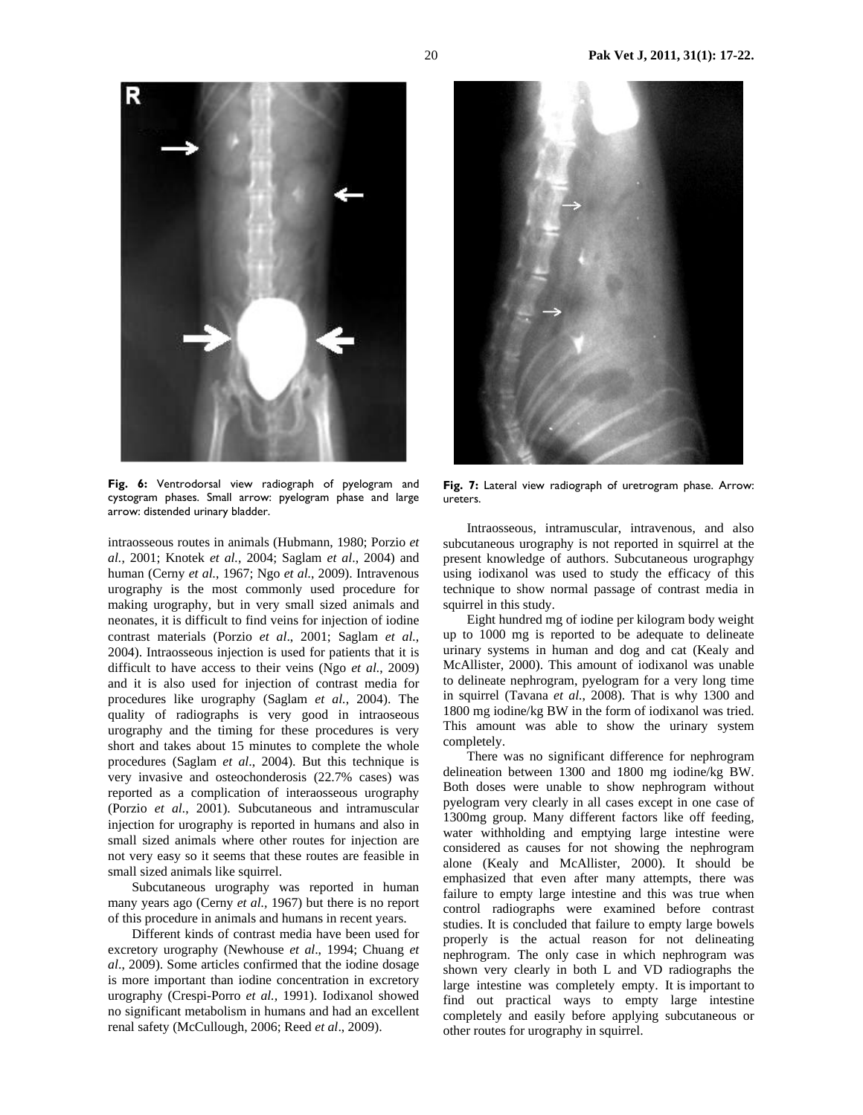

**Fig. 6:** Ventrodorsal view radiograph of pyelogram and cystogram phases. Small arrow: pyelogram phase and large arrow: distended urinary bladder.

intraosseous routes in animals (Hubmann, 1980; Porzio *et al.*, 2001; Knotek *et al.*, 2004; Saglam *et al*., 2004) and human (Cerny *et al.*, 1967; Ngo *et al.*, 2009). Intravenous urography is the most commonly used procedure for making urography, but in very small sized animals and neonates, it is difficult to find veins for injection of iodine contrast materials (Porzio *et al*., 2001; Saglam *et al.*, 2004). Intraosseous injection is used for patients that it is difficult to have access to their veins (Ngo *et al.*, 2009) and it is also used for injection of contrast media for procedures like urography (Saglam *et al.*, 2004). The quality of radiographs is very good in intraoseous urography and the timing for these procedures is very short and takes about 15 minutes to complete the whole procedures (Saglam *et al*., 2004). But this technique is very invasive and osteochonderosis (22.7% cases) was reported as a complication of interaosseous urography (Porzio *et al.*, 2001). Subcutaneous and intramuscular injection for urography is reported in humans and also in small sized animals where other routes for injection are not very easy so it seems that these routes are feasible in small sized animals like squirrel.

Subcutaneous urography was reported in human many years ago (Cerny *et al.,* 1967) but there is no report of this procedure in animals and humans in recent years.

Different kinds of contrast media have been used for excretory urography (Newhouse *et al*., 1994; Chuang *et al*., 2009). Some articles confirmed that the iodine dosage is more important than iodine concentration in excretory urography (Crespi-Porro *et al.,* 1991). Iodixanol showed no significant metabolism in humans and had an excellent renal safety (McCullough, 2006; Reed *et al*., 2009).



**Fig. 7:** Lateral view radiograph of uretrogram phase. Arrow: ureters.

Intraosseous, intramuscular, intravenous, and also subcutaneous urography is not reported in squirrel at the present knowledge of authors. Subcutaneous urographgy using iodixanol was used to study the efficacy of this technique to show normal passage of contrast media in squirrel in this study.

Eight hundred mg of iodine per kilogram body weight up to 1000 mg is reported to be adequate to delineate urinary systems in human and dog and cat (Kealy and McAllister, 2000). This amount of iodixanol was unable to delineate nephrogram, pyelogram for a very long time in squirrel (Tavana *et al.*, 2008). That is why 1300 and 1800 mg iodine/kg BW in the form of iodixanol was tried. This amount was able to show the urinary system completely.

There was no significant difference for nephrogram delineation between 1300 and 1800 mg iodine/kg BW. Both doses were unable to show nephrogram without pyelogram very clearly in all cases except in one case of 1300mg group. Many different factors like off feeding, water withholding and emptying large intestine were considered as causes for not showing the nephrogram alone (Kealy and McAllister, 2000). It should be emphasized that even after many attempts, there was failure to empty large intestine and this was true when control radiographs were examined before contrast studies. It is concluded that failure to empty large bowels properly is the actual reason for not delineating nephrogram. The only case in which nephrogram was shown very clearly in both L and VD radiographs the large intestine was completely empty. It is important to find out practical ways to empty large intestine completely and easily before applying subcutaneous or other routes for urography in squirrel.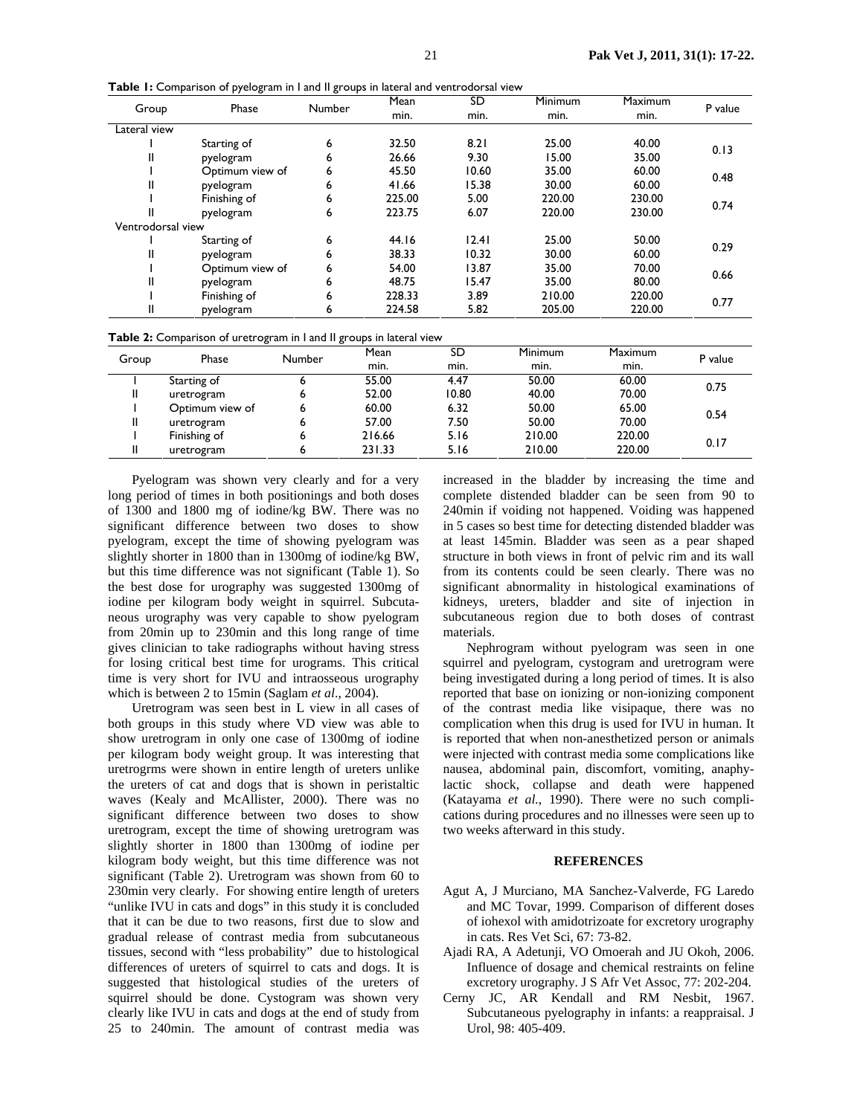| Group             | Phase           | Number | Mean<br>SD |       | Minimum | <b>Maximum</b> | P value |  |
|-------------------|-----------------|--------|------------|-------|---------|----------------|---------|--|
|                   |                 |        | min.       | min.  | min.    | min.           |         |  |
| Lateral view      |                 |        |            |       |         |                |         |  |
|                   | Starting of     | 6      | 32.50      | 8.21  | 25.00   | 40.00          | 0.13    |  |
|                   | pyelogram       | 6      | 26.66      | 9.30  | 15.00   | 35.00          |         |  |
|                   | Optimum view of | 6      | 45.50      | 10.60 | 35.00   | 60.00          | 0.48    |  |
| II                | pyelogram       | 6      | 41.66      | 15.38 | 30.00   | 60.00          |         |  |
|                   | Finishing of    | 6      | 225.00     | 5.00  | 220.00  | 230.00         | 0.74    |  |
|                   | pyelogram       | 6      | 223.75     | 6.07  | 220.00  | 230.00         |         |  |
| Ventrodorsal view |                 |        |            |       |         |                |         |  |
|                   | Starting of     | 6      | 44.16      | 12.41 | 25.00   | 50.00          | 0.29    |  |
| II                | pyelogram       | 6      | 38.33      | 10.32 | 30.00   | 60.00          |         |  |
|                   | Optimum view of | 6      | 54.00      | 13.87 | 35.00   | 70.00          | 0.66    |  |
| II                | pyelogram       | 6      | 48.75      | 15.47 | 35.00   | 80.00          |         |  |
|                   | Finishing of    | 6      | 228.33     | 3.89  | 210.00  | 220.00         |         |  |
| II                | pyelogram       | 6      | 224.58     | 5.82  | 205.00  | 220.00         | 0.77    |  |

**Table 1:** Comparison of pyelogram in I and II groups in lateral and ventrodorsal view

|  |  |  |  |  |  | Table 2: Comparison of uretrogram in I and II groups in lateral view |  |
|--|--|--|--|--|--|----------------------------------------------------------------------|--|
|--|--|--|--|--|--|----------------------------------------------------------------------|--|

| Group | ັ<br>Phase      | . .<br>Number | Mean   | SD    | <b>Minimum</b> | <b>Maximum</b> | P value |  |
|-------|-----------------|---------------|--------|-------|----------------|----------------|---------|--|
|       |                 |               | min.   | min.  | min.           | min.           |         |  |
|       | Starting of     | ּס            | 55.00  | 4.47  | 50.00          | 60.00          | 0.75    |  |
|       | uretrogram      | ь             | 52.00  | 10.80 | 40.00          | 70.00          |         |  |
|       | Optimum view of | o             | 60.00  | 6.32  | 50.00          | 65.00          | 0.54    |  |
|       | uretrogram      | 6             | 57.00  | 7.50  | 50.00          | 70.00          |         |  |
|       | Finishing of    | o             | 216.66 | 5.16  | 210.00         | 220.00         | 0.17    |  |
|       | uretrogram      |               | 231.33 | 5.16  | 210.00         | 220.00         |         |  |

Pyelogram was shown very clearly and for a very long period of times in both positionings and both doses of 1300 and 1800 mg of iodine/kg BW. There was no significant difference between two doses to show pyelogram, except the time of showing pyelogram was slightly shorter in 1800 than in 1300mg of iodine/kg BW, but this time difference was not significant (Table 1). So the best dose for urography was suggested 1300mg of iodine per kilogram body weight in squirrel. Subcutaneous urography was very capable to show pyelogram from 20min up to 230min and this long range of time gives clinician to take radiographs without having stress for losing critical best time for urograms. This critical time is very short for IVU and intraosseous urography which is between 2 to 15min (Saglam *et al*., 2004).

Uretrogram was seen best in L view in all cases of both groups in this study where VD view was able to show uretrogram in only one case of 1300mg of iodine per kilogram body weight group. It was interesting that uretrogrms were shown in entire length of ureters unlike the ureters of cat and dogs that is shown in peristaltic waves (Kealy and McAllister, 2000). There was no significant difference between two doses to show uretrogram, except the time of showing uretrogram was slightly shorter in 1800 than 1300mg of iodine per kilogram body weight, but this time difference was not significant (Table 2). Uretrogram was shown from 60 to 230min very clearly. For showing entire length of ureters "unlike IVU in cats and dogs" in this study it is concluded that it can be due to two reasons, first due to slow and gradual release of contrast media from subcutaneous tissues, second with "less probability" due to histological differences of ureters of squirrel to cats and dogs. It is suggested that histological studies of the ureters of squirrel should be done. Cystogram was shown very clearly like IVU in cats and dogs at the end of study from 25 to 240min. The amount of contrast media was

increased in the bladder by increasing the time and complete distended bladder can be seen from 90 to 240min if voiding not happened. Voiding was happened in 5 cases so best time for detecting distended bladder was at least 145min. Bladder was seen as a pear shaped structure in both views in front of pelvic rim and its wall from its contents could be seen clearly. There was no significant abnormality in histological examinations of kidneys, ureters, bladder and site of injection in subcutaneous region due to both doses of contrast materials.

Nephrogram without pyelogram was seen in one squirrel and pyelogram, cystogram and uretrogram were being investigated during a long period of times. It is also reported that base on ionizing or non-ionizing component of the contrast media like visipaque, there was no complication when this drug is used for IVU in human. It is reported that when non-anesthetized person or animals were injected with contrast media some complications like nausea, abdominal pain, discomfort, vomiting, anaphylactic shock, collapse and death were happened (Katayama *et al.*, 1990). There were no such complications during procedures and no illnesses were seen up to two weeks afterward in this study.

### **REFERENCES**

- Agut A, J Murciano, MA Sanchez-Valverde, FG Laredo and MC Tovar, 1999. Comparison of different doses of iohexol with amidotrizoate for excretory urography in cats. Res Vet Sci, 67: 73-82.
- Ajadi RA, A Adetunji, VO Omoerah and JU Okoh, 2006. Influence of dosage and chemical restraints on feline excretory urography. J S Afr Vet Assoc, 77: 202-204.
- Cerny JC, AR Kendall and RM Nesbit, 1967. Subcutaneous pyelography in infants: a reappraisal. J Urol, 98: 405-409.